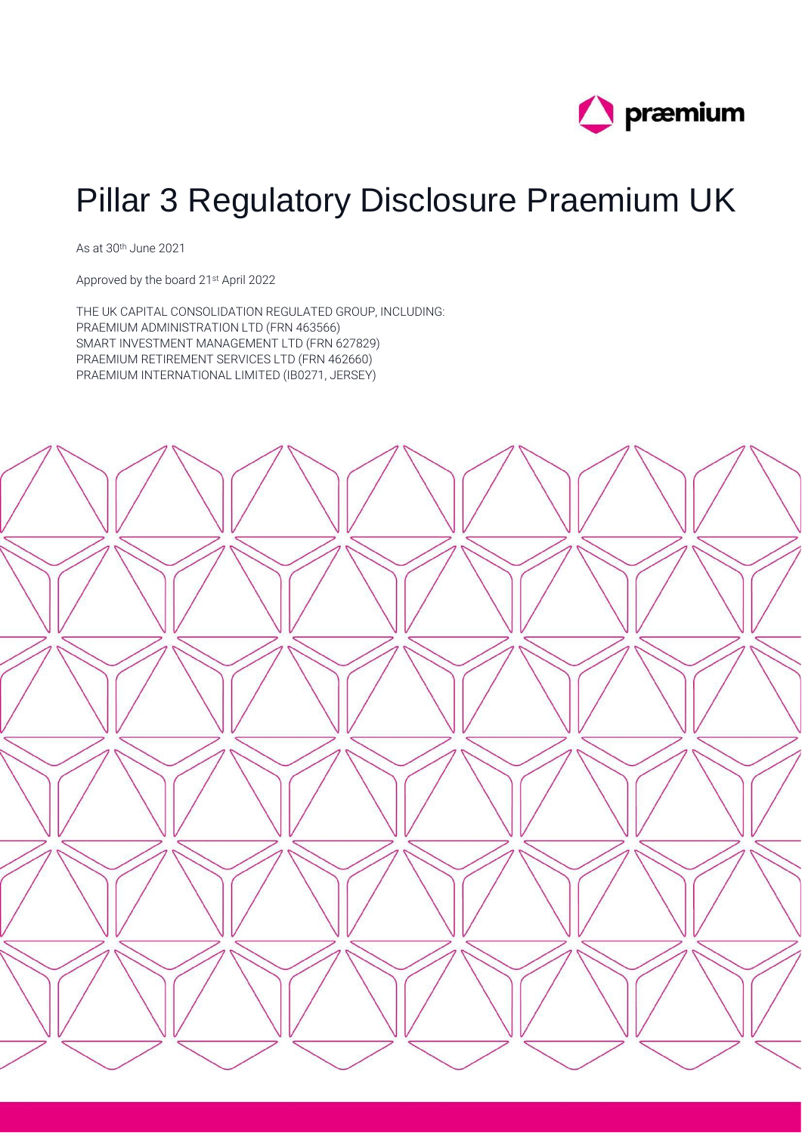

# Pillar 3 Regulatory Disclosure Praemium UK

As at 30th June 2021

Approved by the board 21st April 2022

THE UK CAPITAL CONSOLIDATION REGULATED GROUP, INCLUDING: PRAEMIUM ADMINISTRATION LTD (FRN 463566) SMART INVESTMENT MANAGEMENT LTD (FRN 627829) PRAEMIUM RETIREMENT SERVICES LTD (FRN 462660) PRAEMIUM INTERNATIONAL LIMITED (IB0271, JERSEY)

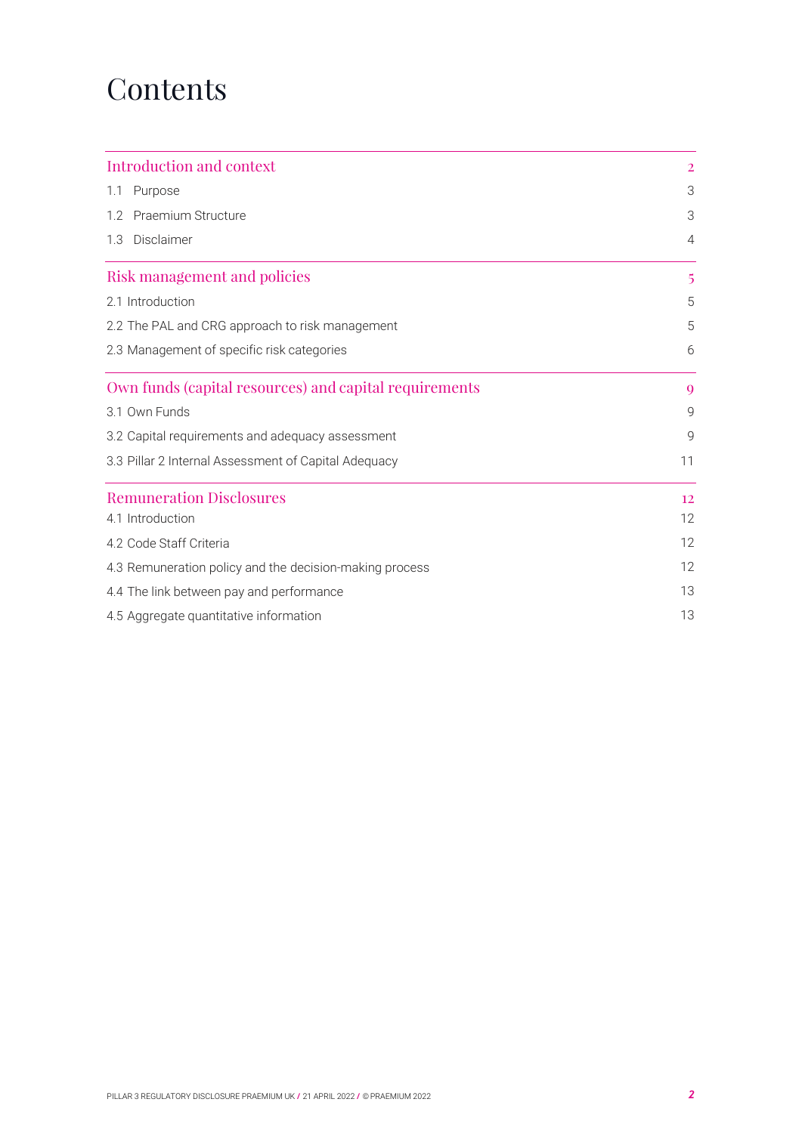# **Contents**

| $\overline{2}$ |
|----------------|
| 3              |
| 3              |
| $\overline{4}$ |
| 5              |
| 5              |
| 5              |
| 6              |
| 9              |
| 9              |
| 9              |
| 11             |
| 12             |
| 12             |
| 12             |
| 12             |
| 13             |
| 13             |
|                |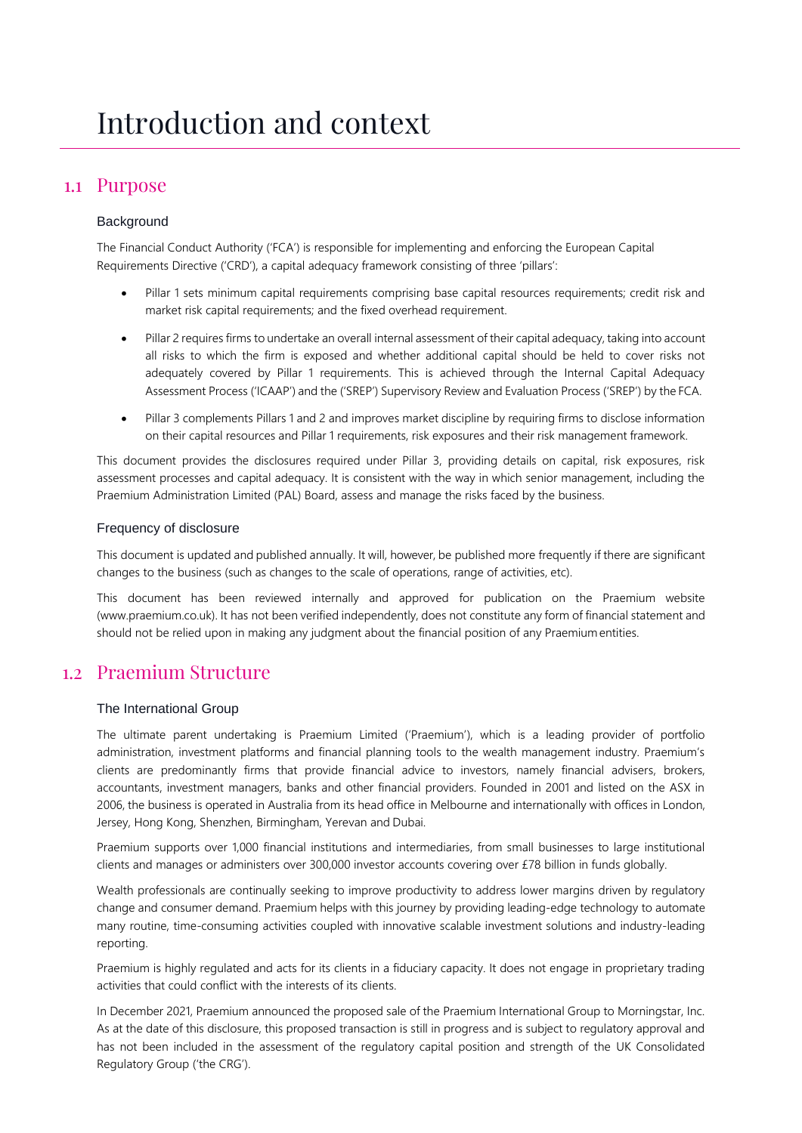# <span id="page-2-0"></span>Introduction and context

### <span id="page-2-1"></span>1.1 Purpose

#### **Background**

The Financial Conduct Authority ('FCA') is responsible for implementing and enforcing the European Capital Requirements Directive ('CRD'), a capital adequacy framework consisting of three 'pillars':

- Pillar 1 sets minimum capital requirements comprising base capital resources requirements; credit risk and market risk capital requirements; and the fixed overhead requirement.
- Pillar 2 requires firms to undertake an overall internal assessment of their capital adequacy, taking into account all risks to which the firm is exposed and whether additional capital should be held to cover risks not adequately covered by Pillar 1 requirements. This is achieved through the Internal Capital Adequacy Assessment Process ('ICAAP') and the ('SREP') Supervisory Review and Evaluation Process ('SREP') by the FCA.
- Pillar 3 complements Pillars 1 and 2 and improves market discipline by requiring firms to disclose information on their capital resources and Pillar 1 requirements, risk exposures and their risk management framework.

This document provides the disclosures required under Pillar 3, providing details on capital, risk exposures, risk assessment processes and capital adequacy. It is consistent with the way in which senior management, including the Praemium Administration Limited (PAL) Board, assess and manage the risks faced by the business.

#### Frequency of disclosure

This document is updated and published annually. It will, however, be published more frequently if there are significant changes to the business (such as changes to the scale of operations, range of activities, etc).

This document has been reviewed internally and approved for publication on the Praemium website (www.praemium.co.uk). It has not been verified independently, does not constitute any form of financial statement and should not be relied upon in making any judgment about the financial position of any Praemiumentities.

### <span id="page-2-2"></span>1.2 Praemium Structure

#### The International Group

The ultimate parent undertaking is Praemium Limited ('Praemium'), which is a leading provider of portfolio administration, investment platforms and financial planning tools to the wealth management industry. Praemium's clients are predominantly firms that provide financial advice to investors, namely financial advisers, brokers, accountants, investment managers, banks and other financial providers. Founded in 2001 and listed on the ASX in 2006, the business is operated in Australia from its head office in Melbourne and internationally with offices in London, Jersey, Hong Kong, Shenzhen, Birmingham, Yerevan and Dubai.

Praemium supports over 1,000 financial institutions and intermediaries, from small businesses to large institutional clients and manages or administers over 300,000 investor accounts covering over £78 billion in funds globally.

Wealth professionals are continually seeking to improve productivity to address lower margins driven by regulatory change and consumer demand. Praemium helps with this journey by providing leading-edge technology to automate many routine, time-consuming activities coupled with innovative scalable investment solutions and industry-leading reporting.

Praemium is highly regulated and acts for its clients in a fiduciary capacity. It does not engage in proprietary trading activities that could conflict with the interests of its clients.

In December 2021, Praemium announced the proposed sale of the Praemium International Group to Morningstar, Inc. As at the date of this disclosure, this proposed transaction is still in progress and is subject to regulatory approval and has not been included in the assessment of the regulatory capital position and strength of the UK Consolidated Regulatory Group ('the CRG').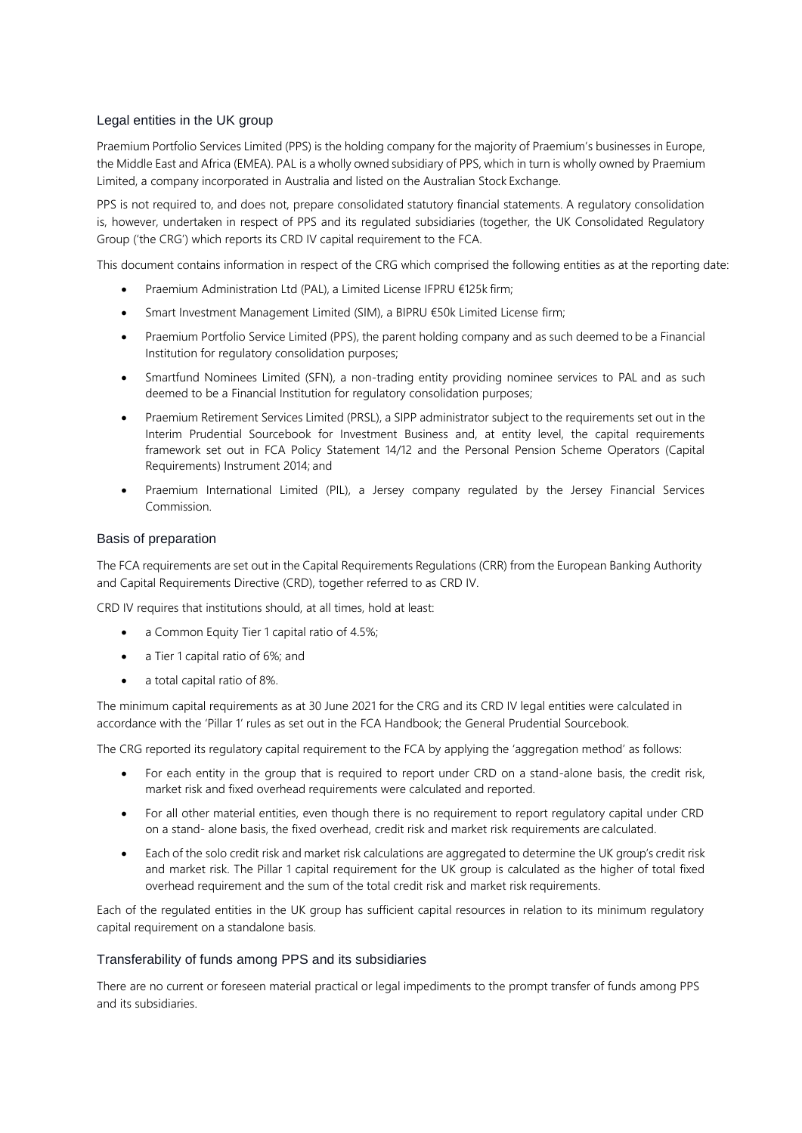#### Legal entities in the UK group

Praemium Portfolio Services Limited (PPS) is the holding company for the majority of Praemium's businesses in Europe, the Middle East and Africa (EMEA). PAL is a wholly owned subsidiary of PPS, which in turn is wholly owned by Praemium Limited, a company incorporated in Australia and listed on the Australian Stock Exchange.

PPS is not required to, and does not, prepare consolidated statutory financial statements. A regulatory consolidation is, however, undertaken in respect of PPS and its regulated subsidiaries (together, the UK Consolidated Regulatory Group ('the CRG') which reports its CRD IV capital requirement to the FCA.

This document contains information in respect of the CRG which comprised the following entities as at the reporting date:

- Praemium Administration Ltd (PAL), a Limited License IFPRU €125k firm;
- Smart Investment Management Limited (SIM), a BIPRU €50k Limited License firm;
- Praemium Portfolio Service Limited (PPS), the parent holding company and as such deemed to be a Financial Institution for regulatory consolidation purposes;
- Smartfund Nominees Limited (SFN), a non-trading entity providing nominee services to PAL and as such deemed to be a Financial Institution for regulatory consolidation purposes;
- Praemium Retirement Services Limited (PRSL), a SIPP administrator subject to the requirements set out in the Interim Prudential Sourcebook for Investment Business and, at entity level, the capital requirements framework set out in FCA Policy Statement 14/12 and the Personal Pension Scheme Operators (Capital Requirements) Instrument 2014; and
- Praemium International Limited (PIL), a Jersey company regulated by the Jersey Financial Services Commission.

#### Basis of preparation

The FCA requirements are set out in the Capital Requirements Regulations (CRR) from the European Banking Authority and Capital Requirements Directive (CRD), together referred to as CRD IV.

CRD IV requires that institutions should, at all times, hold at least:

- a Common Equity Tier 1 capital ratio of 4.5%;
- a Tier 1 capital ratio of 6%; and
- a total capital ratio of 8%.

The minimum capital requirements as at 30 June 2021 for the CRG and its CRD IV legal entities were calculated in accordance with the 'Pillar 1' rules as set out in the FCA Handbook; the General Prudential Sourcebook.

The CRG reported its regulatory capital requirement to the FCA by applying the 'aggregation method' as follows:

- For each entity in the group that is required to report under CRD on a stand-alone basis, the credit risk, market risk and fixed overhead requirements were calculated and reported.
- For all other material entities, even though there is no requirement to report regulatory capital under CRD on a stand- alone basis, the fixed overhead, credit risk and market risk requirements are calculated.
- Each of the solo credit risk and market risk calculations are aggregated to determine the UK group's credit risk and market risk. The Pillar 1 capital requirement for the UK group is calculated as the higher of total fixed overhead requirement and the sum of the total credit risk and market risk requirements.

Each of the regulated entities in the UK group has sufficient capital resources in relation to its minimum regulatory capital requirement on a standalone basis.

#### Transferability of funds among PPS and its subsidiaries

There are no current or foreseen material practical or legal impediments to the prompt transfer of funds among PPS and its subsidiaries.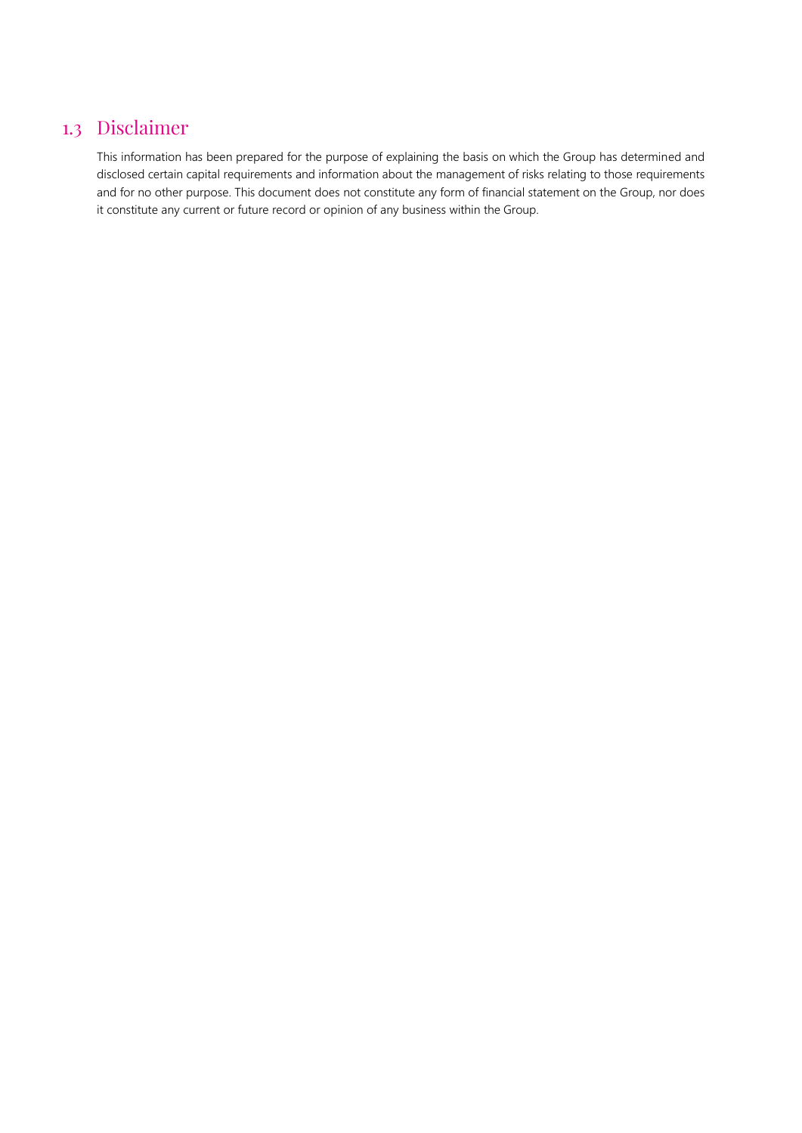## <span id="page-4-0"></span>1.3 Disclaimer

This information has been prepared for the purpose of explaining the basis on which the Group has determined and disclosed certain capital requirements and information about the management of risks relating to those requirements and for no other purpose. This document does not constitute any form of financial statement on the Group, nor does it constitute any current or future record or opinion of any business within the Group.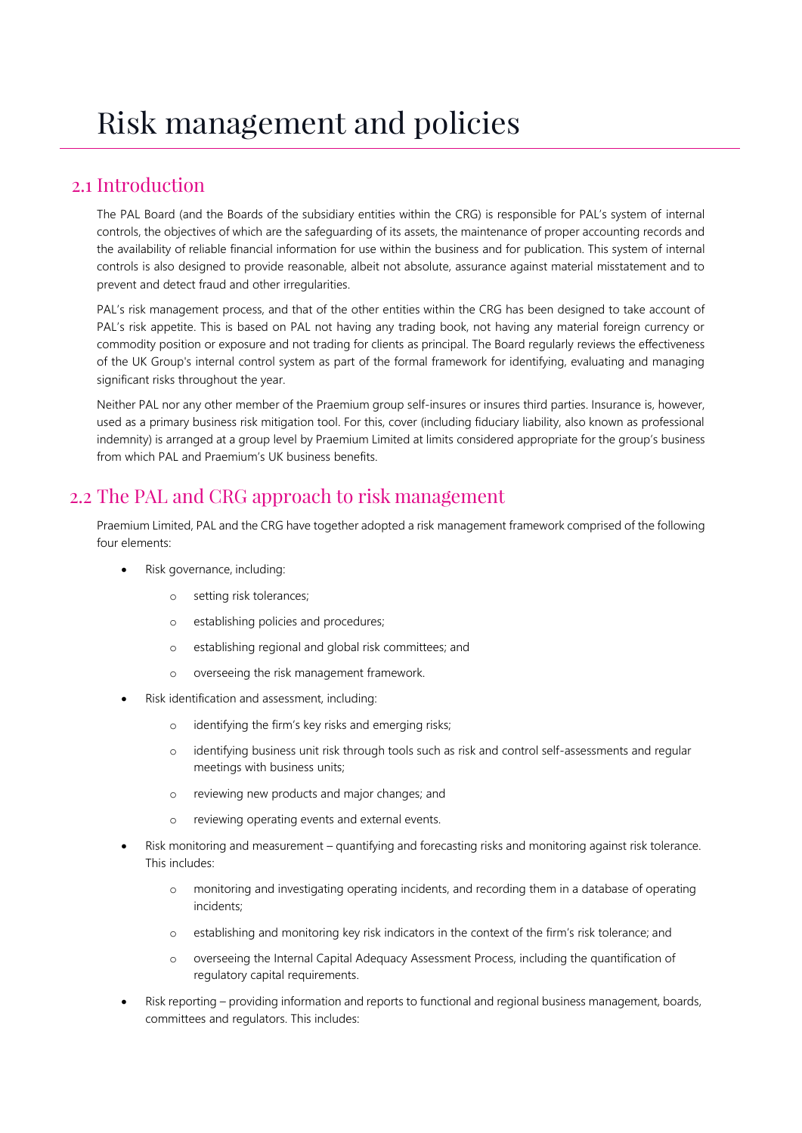# <span id="page-5-0"></span>Risk management and policies

### <span id="page-5-1"></span>2.1 Introduction

The PAL Board (and the Boards of the subsidiary entities within the CRG) is responsible for PAL's system of internal controls, the objectives of which are the safeguarding of its assets, the maintenance of proper accounting records and the availability of reliable financial information for use within the business and for publication. This system of internal controls is also designed to provide reasonable, albeit not absolute, assurance against material misstatement and to prevent and detect fraud and other irregularities.

PAL's risk management process, and that of the other entities within the CRG has been designed to take account of PAL's risk appetite. This is based on PAL not having any trading book, not having any material foreign currency or commodity position or exposure and not trading for clients as principal. The Board regularly reviews the effectiveness of the UK Group's internal control system as part of the formal framework for identifying, evaluating and managing significant risks throughout the year.

Neither PAL nor any other member of the Praemium group self-insures or insures third parties. Insurance is, however, used as a primary business risk mitigation tool. For this, cover (including fiduciary liability, also known as professional indemnity) is arranged at a group level by Praemium Limited at limits considered appropriate for the group's business from which PAL and Praemium's UK business benefits.

## <span id="page-5-2"></span>2.2 The PAL and CRG approach to risk management

Praemium Limited, PAL and the CRG have together adopted a risk management framework comprised of the following four elements:

- Risk governance, including:
	- o setting risk tolerances;
	- o establishing policies and procedures;
	- o establishing regional and global risk committees; and
	- o overseeing the risk management framework.
- Risk identification and assessment, including:
	- o identifying the firm's key risks and emerging risks;
	- o identifying business unit risk through tools such as risk and control self-assessments and regular meetings with business units;
	- o reviewing new products and major changes; and
	- o reviewing operating events and external events.
- Risk monitoring and measurement quantifying and forecasting risks and monitoring against risk tolerance. This includes:
	- o monitoring and investigating operating incidents, and recording them in a database of operating incidents;
	- o establishing and monitoring key risk indicators in the context of the firm's risk tolerance; and
	- o overseeing the Internal Capital Adequacy Assessment Process, including the quantification of regulatory capital requirements.
- Risk reporting providing information and reports to functional and regional business management, boards, committees and regulators. This includes: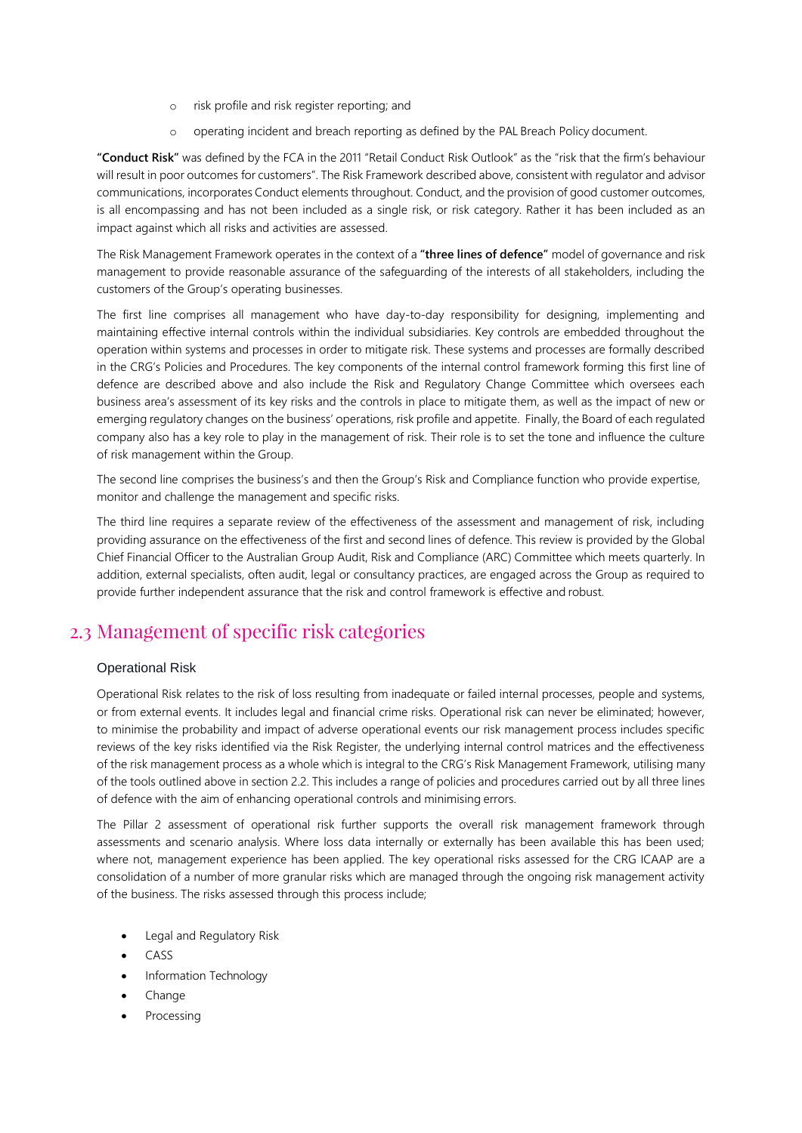- o risk profile and risk register reporting; and
- o operating incident and breach reporting as defined by the PAL Breach Policy document.

**"Conduct Risk"** was defined by the FCA in the 2011 "Retail Conduct Risk Outlook" as the "risk that the firm's behaviour will result in poor outcomes for customers". The Risk Framework described above, consistent with regulator and advisor communications, incorporates Conduct elements throughout. Conduct, and the provision of good customer outcomes, is all encompassing and has not been included as a single risk, or risk category. Rather it has been included as an impact against which all risks and activities are assessed.

The Risk Management Framework operates in the context of a **"three lines of defence"** model of governance and risk management to provide reasonable assurance of the safeguarding of the interests of all stakeholders, including the customers of the Group's operating businesses.

The first line comprises all management who have day-to-day responsibility for designing, implementing and maintaining effective internal controls within the individual subsidiaries. Key controls are embedded throughout the operation within systems and processes in order to mitigate risk. These systems and processes are formally described in the CRG's Policies and Procedures. The key components of the internal control framework forming this first line of defence are described above and also include the Risk and Regulatory Change Committee which oversees each business area's assessment of its key risks and the controls in place to mitigate them, as well as the impact of new or emerging regulatory changes on the business' operations, risk profile and appetite. Finally, the Board of each regulated company also has a key role to play in the management of risk. Their role is to set the tone and influence the culture of risk management within the Group.

The second line comprises the business's and then the Group's Risk and Compliance function who provide expertise, monitor and challenge the management and specific risks.

The third line requires a separate review of the effectiveness of the assessment and management of risk, including providing assurance on the effectiveness of the first and second lines of defence. This review is provided by the Global Chief Financial Officer to the Australian Group Audit, Risk and Compliance (ARC) Committee which meets quarterly. In addition, external specialists, often audit, legal or consultancy practices, are engaged across the Group as required to provide further independent assurance that the risk and control framework is effective and robust.

## <span id="page-6-0"></span>2.3 Management of specific risk categories

#### Operational Risk

Operational Risk relates to the risk of loss resulting from inadequate or failed internal processes, people and systems, or from external events. It includes legal and financial crime risks. Operational risk can never be eliminated; however, to minimise the probability and impact of adverse operational events our risk management process includes specific reviews of the key risks identified via the Risk Register, the underlying internal control matrices and the effectiveness of the risk management process as a whole which is integral to the CRG's Risk Management Framework, utilising many of the tools outlined above in section 2.2. This includes a range of policies and procedures carried out by all three lines of defence with the aim of enhancing operational controls and minimising errors.

The Pillar 2 assessment of operational risk further supports the overall risk management framework through assessments and scenario analysis. Where loss data internally or externally has been available this has been used; where not, management experience has been applied. The key operational risks assessed for the CRG ICAAP are a consolidation of a number of more granular risks which are managed through the ongoing risk management activity of the business. The risks assessed through this process include;

- Legal and Regulatory Risk
- CASS
- Information Technology
- Change
- **Processing**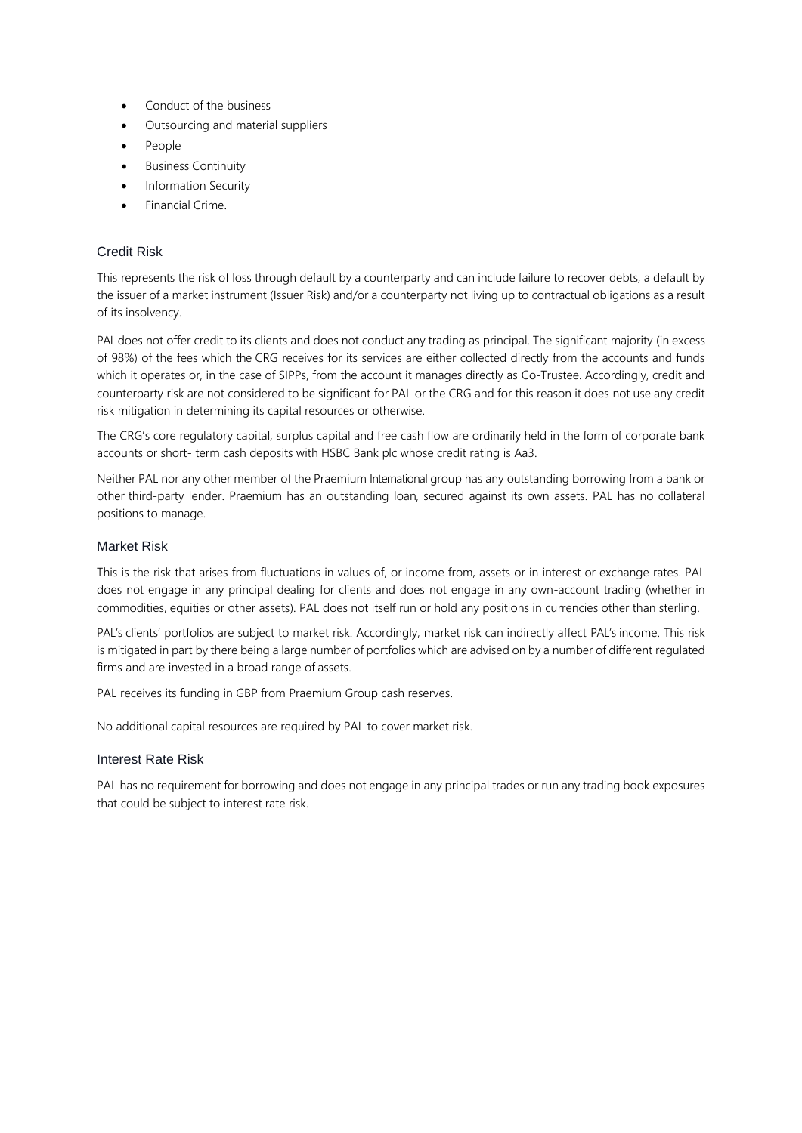- Conduct of the business
- Outsourcing and material suppliers
- People
- **Business Continuity**
- Information Security
- Financial Crime.

#### Credit Risk

This represents the risk of loss through default by a counterparty and can include failure to recover debts, a default by the issuer of a market instrument (Issuer Risk) and/or a counterparty not living up to contractual obligations as a result of its insolvency.

PAL does not offer credit to its clients and does not conduct any trading as principal. The significant majority (in excess of 98%) of the fees which the CRG receives for its services are either collected directly from the accounts and funds which it operates or, in the case of SIPPs, from the account it manages directly as Co-Trustee. Accordingly, credit and counterparty risk are not considered to be significant for PAL or the CRG and for this reason it does not use any credit risk mitigation in determining its capital resources or otherwise.

The CRG's core regulatory capital, surplus capital and free cash flow are ordinarily held in the form of corporate bank accounts or short- term cash deposits with HSBC Bank plc whose credit rating is Aa3.

Neither PAL nor any other member of the Praemium International group has any outstanding borrowing from a bank or other third-party lender. Praemium has an outstanding loan, secured against its own assets. PAL has no collateral positions to manage.

#### Market Risk

This is the risk that arises from fluctuations in values of, or income from, assets or in interest or exchange rates. PAL does not engage in any principal dealing for clients and does not engage in any own-account trading (whether in commodities, equities or other assets). PAL does not itself run or hold any positions in currencies other than sterling.

PAL's clients' portfolios are subject to market risk. Accordingly, market risk can indirectly affect PAL's income. This risk is mitigated in part by there being a large number of portfolios which are advised on by a number of different regulated firms and are invested in a broad range of assets.

PAL receives its funding in GBP from Praemium Group cash reserves.

No additional capital resources are required by PAL to cover market risk.

#### Interest Rate Risk

PAL has no requirement for borrowing and does not engage in any principal trades or run any trading book exposures that could be subject to interest rate risk.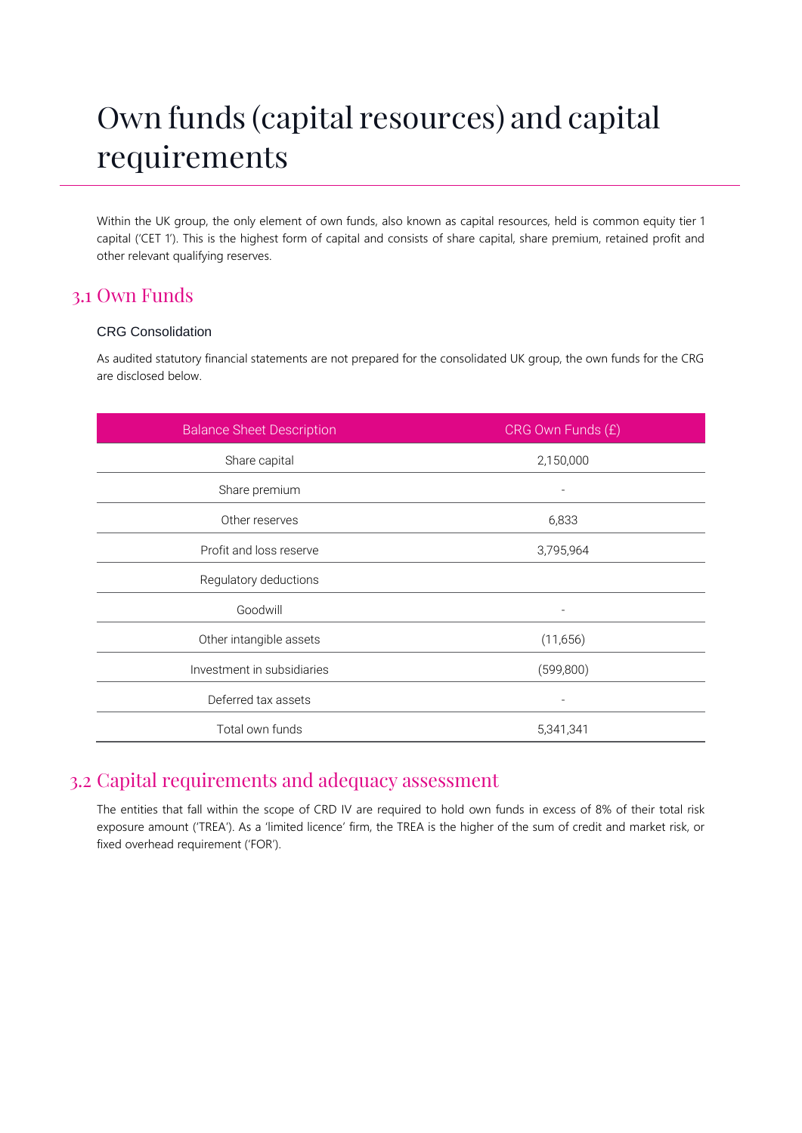# <span id="page-8-0"></span>Own funds (capital resources) and capital requirements

Within the UK group, the only element of own funds, also known as capital resources, held is common equity tier 1 capital ('CET 1'). This is the highest form of capital and consists of share capital, share premium, retained profit and other relevant qualifying reserves.

### <span id="page-8-1"></span>3.1 Own Funds

#### CRG Consolidation

As audited statutory financial statements are not prepared for the consolidated UK group, the own funds for the CRG are disclosed below.

| <b>Balance Sheet Description</b> | CRG Own Funds (£)        |  |  |
|----------------------------------|--------------------------|--|--|
| Share capital                    | 2,150,000                |  |  |
| Share premium                    | $\overline{\phantom{a}}$ |  |  |
| Other reserves                   | 6,833                    |  |  |
| Profit and loss reserve          | 3,795,964                |  |  |
| Regulatory deductions            |                          |  |  |
| Goodwill                         | $\overline{\phantom{0}}$ |  |  |
| Other intangible assets          | (11,656)                 |  |  |
| Investment in subsidiaries       | (599,800)                |  |  |
| Deferred tax assets              |                          |  |  |
| Total own funds                  | 5,341,341                |  |  |

## <span id="page-8-2"></span>3.2 Capital requirements and adequacy assessment

The entities that fall within the scope of CRD IV are required to hold own funds in excess of 8% of their total risk exposure amount ('TREA'). As a 'limited licence' firm, the TREA is the higher of the sum of credit and market risk, or fixed overhead requirement ('FOR').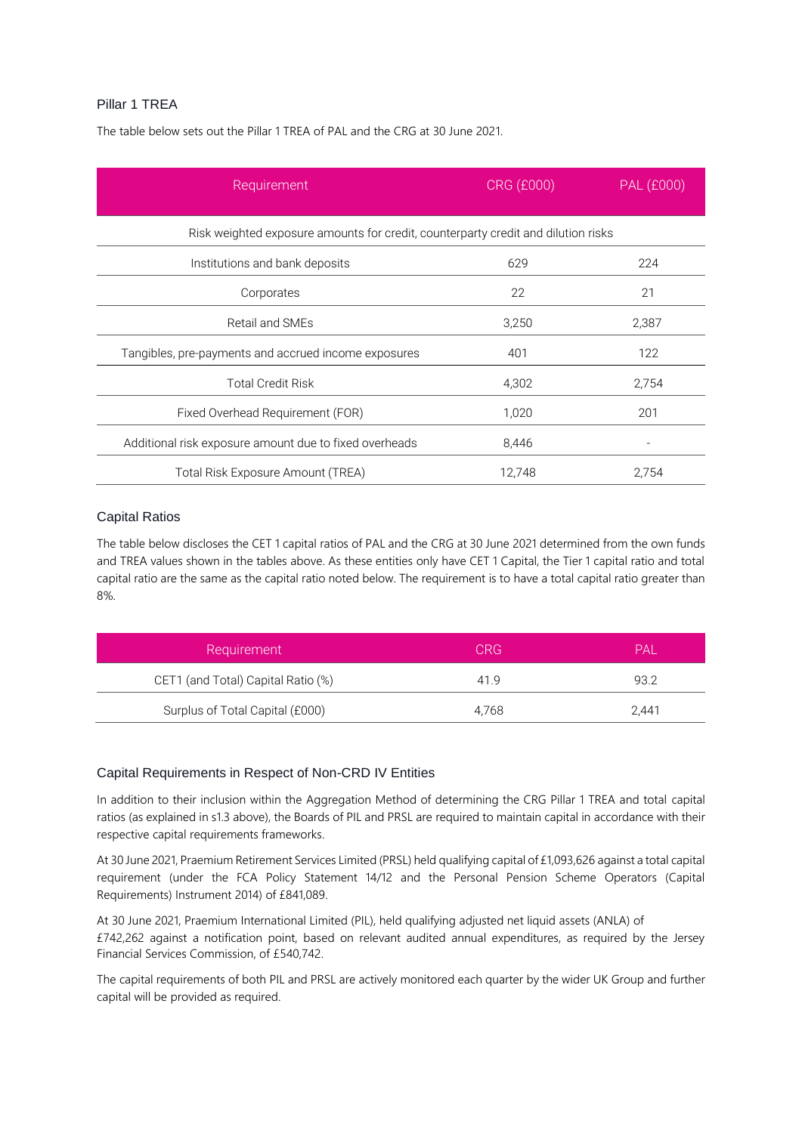#### <span id="page-9-0"></span>Pillar 1 TREA

The table below sets out the Pillar 1 TREA of PAL and the CRG at 30 June 2021.

| Requirement                                                                       | <b>CRG (£000)</b> | <b>PAL (£000)</b> |  |
|-----------------------------------------------------------------------------------|-------------------|-------------------|--|
| Risk weighted exposure amounts for credit, counterparty credit and dilution risks |                   |                   |  |
| Institutions and bank deposits                                                    | 629               | 224               |  |
| Corporates                                                                        | 22                | 21                |  |
| Retail and SMEs                                                                   | 3,250             | 2,387             |  |
| Tangibles, pre-payments and accrued income exposures                              | 401               | 122               |  |
| <b>Total Credit Risk</b>                                                          | 4,302             | 2,754             |  |
| Fixed Overhead Requirement (FOR)                                                  | 1,020             | 201               |  |
| Additional risk exposure amount due to fixed overheads                            | 8,446             |                   |  |
| Total Risk Exposure Amount (TREA)                                                 | 12,748            | 2,754             |  |

#### Capital Ratios

The table below discloses the CET 1 capital ratios of PAL and the CRG at 30 June 2021 determined from the own funds and TREA values shown in the tables above. As these entities only have CET 1 Capital, the Tier 1 capital ratio and total capital ratio are the same as the capital ratio noted below. The requirement is to have a total capital ratio greater than 8%.

| Requirement                        | CRG   | PAI   |
|------------------------------------|-------|-------|
| CET1 (and Total) Capital Ratio (%) | 419   | 93.2  |
| Surplus of Total Capital (£000)    | 4.768 | 2.441 |

#### Capital Requirements in Respect of Non-CRD IV Entities

In addition to their inclusion within the Aggregation Method of determining the CRG Pillar 1 TREA and total capital ratios (as explained in s1.3 above), the Boards of PIL and PRSL are required to maintain capital in accordance with their respective capital requirements frameworks.

At 30 June 2021, Praemium Retirement Services Limited (PRSL) held qualifying capital of £1,093,626 against a total capital requirement (under the FCA Policy Statement 14/12 and the Personal Pension Scheme Operators (Capital Requirements) Instrument 2014) of £841,089.

At 30 June 2021, Praemium International Limited (PIL), held qualifying adjusted net liquid assets (ANLA) of £742,262 against a notification point, based on relevant audited annual expenditures, as required by the Jersey Financial Services Commission, of £540,742.

The capital requirements of both PIL and PRSL are actively monitored each quarter by the wider UK Group and further capital will be provided as required.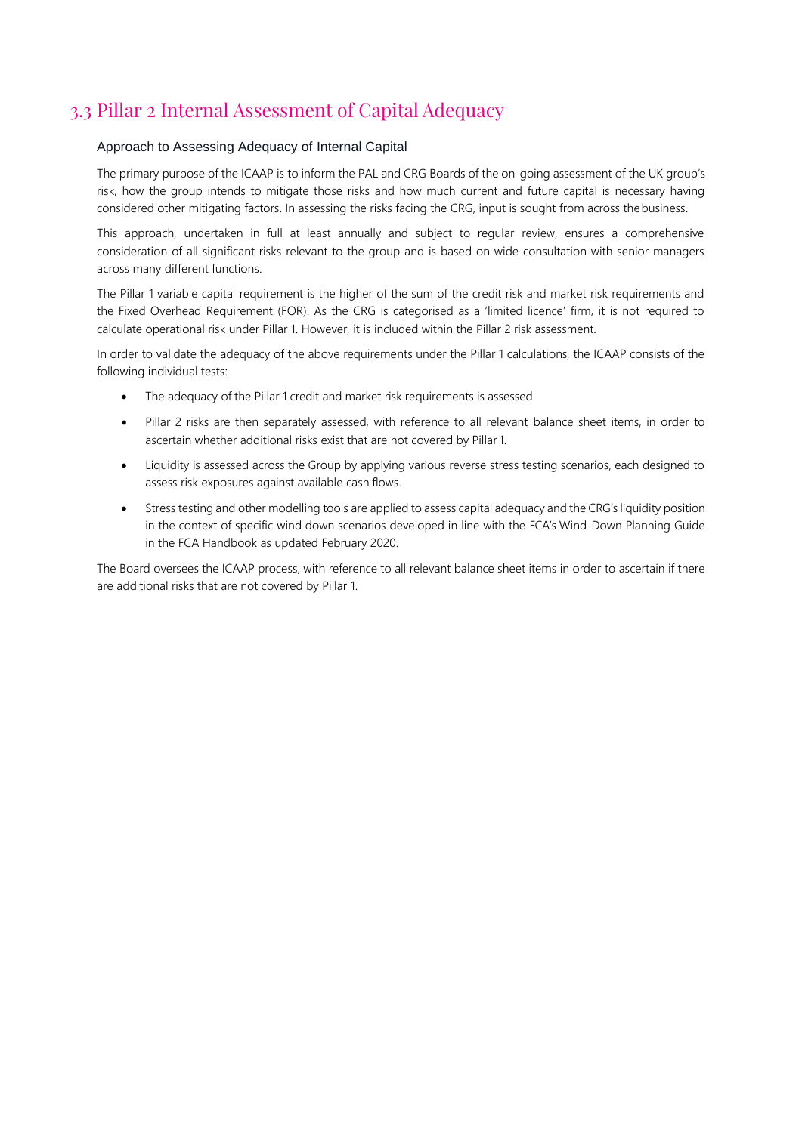## 3.3 Pillar 2 Internal Assessment of Capital Adequacy

#### Approach to Assessing Adequacy of Internal Capital

The primary purpose of the ICAAP is to inform the PAL and CRG Boards of the on-going assessment of the UK group's risk, how the group intends to mitigate those risks and how much current and future capital is necessary having considered other mitigating factors. In assessing the risks facing the CRG, input is sought from across thebusiness.

This approach, undertaken in full at least annually and subject to regular review, ensures a comprehensive consideration of all significant risks relevant to the group and is based on wide consultation with senior managers across many different functions.

The Pillar 1 variable capital requirement is the higher of the sum of the credit risk and market risk requirements and the Fixed Overhead Requirement (FOR). As the CRG is categorised as a 'limited licence' firm, it is not required to calculate operational risk under Pillar 1. However, it is included within the Pillar 2 risk assessment.

In order to validate the adequacy of the above requirements under the Pillar 1 calculations, the ICAAP consists of the following individual tests:

- The adequacy of the Pillar 1 credit and market risk requirements is assessed
- Pillar 2 risks are then separately assessed, with reference to all relevant balance sheet items, in order to ascertain whether additional risks exist that are not covered by Pillar 1.
- Liquidity is assessed across the Group by applying various reverse stress testing scenarios, each designed to assess risk exposures against available cash flows.
- Stress testing and other modelling tools are applied to assess capital adequacy and the CRG's liquidity position in the context of specific wind down scenarios developed in line with the FCA's Wind-Down Planning Guide in the FCA Handbook as updated February 2020.

The Board oversees the ICAAP process, with reference to all relevant balance sheet items in order to ascertain if there are additional risks that are not covered by Pillar 1.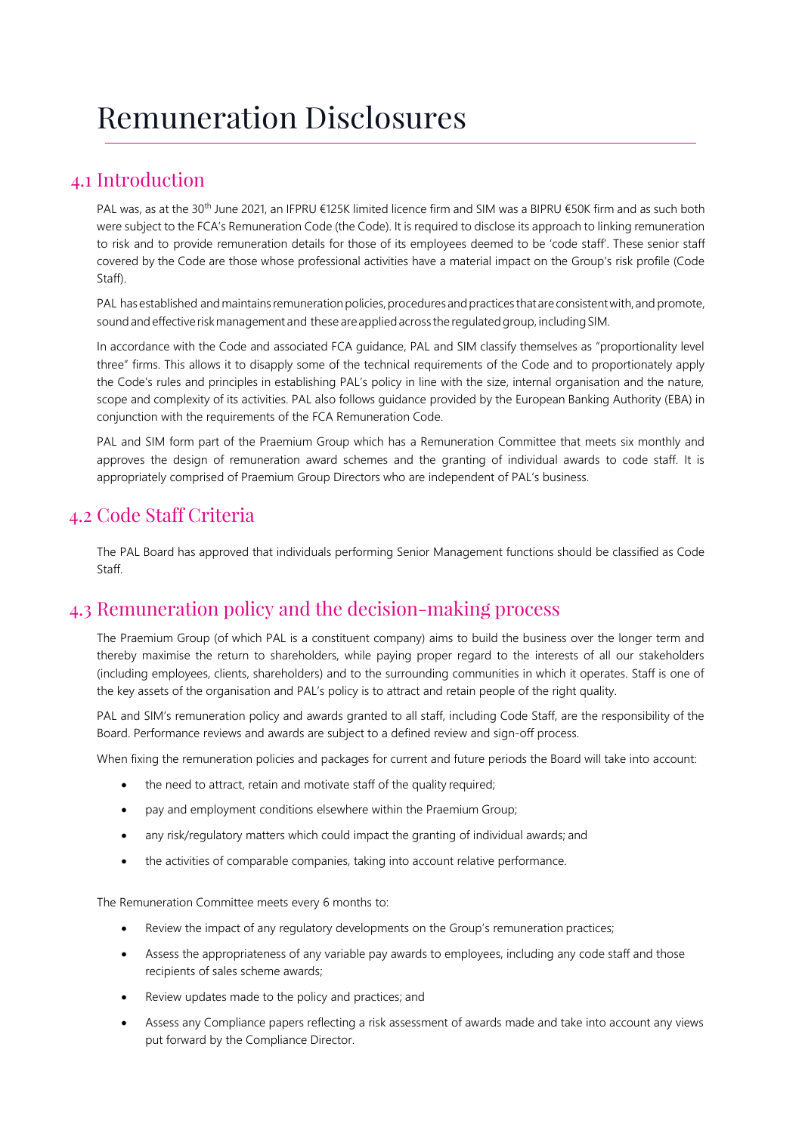# <span id="page-11-0"></span>Remuneration Disclosures

## <span id="page-11-1"></span>4.1 Introduction

PAL was, as at the 30<sup>th</sup> June 2021, an IFPRU €125K limited licence firm and SIM was a BIPRU €50K firm and as such both were subject to the FCA's Remuneration Code (the Code). It is required to disclose its approach to linking remuneration to risk and to provide remuneration details for those of its employees deemed to be 'code staff'. These senior staff covered by the Code are those whose professional activities have a material impact on the Group's risk profile (Code Staff).

PAL has established and maintains remuneration policies, procedures and practices that are consistent with, and promote, sound and effective risk management and these are applied across the regulated group, including SIM.

In accordance with the Code and associated FCA guidance, PAL and SIM classify themselves as "proportionality level three" firms. This allows it to disapply some of the technical requirements of the Code and to proportionately apply the Code's rules and principles in establishing PAL's policy in line with the size, internal organisation and the nature, scope and complexity of its activities. PAL also follows guidance provided by the European Banking Authority (EBA) in conjunction with the requirements of the FCA Remuneration Code.

PAL and SIM form part of the Praemium Group which has a Remuneration Committee that meets six monthly and approves the design of remuneration award schemes and the granting of individual awards to code staff. It is appropriately comprised of Praemium Group Directors who are independent of PAL's business.

## <span id="page-11-2"></span>4.2 Code Staff Criteria

The PAL Board has approved that individuals performing Senior Management functions should be classified as Code Staff.

## <span id="page-11-3"></span>4.3 Remuneration policy and the decision-making process

The Praemium Group (of which PAL is a constituent company) aims to build the business over the longer term and thereby maximise the return to shareholders, while paying proper regard to the interests of all our stakeholders (including employees, clients, shareholders) and to the surrounding communities in which it operates. Staff is one of the key assets of the organisation and PAL's policy is to attract and retain people of the right quality.

PAL and SIM's remuneration policy and awards granted to all staff, including Code Staff, are the responsibility of the Board. Performance reviews and awards are subject to a defined review and sign-off process.

When fixing the remuneration policies and packages for current and future periods the Board will take into account:

- the need to attract, retain and motivate staff of the quality required;
- pay and employment conditions elsewhere within the Praemium Group;
- any risk/regulatory matters which could impact the granting of individual awards; and
- the activities of comparable companies, taking into account relative performance.

The Remuneration Committee meets every 6 months to:

- Review the impact of any regulatory developments on the Group's remuneration practices;
- Assess the appropriateness of any variable pay awards to employees, including any code staff and those recipients of sales scheme awards;
- Review updates made to the policy and practices; and
- Assess any Compliance papers reflecting a risk assessment of awards made and take into account any views put forward by the Compliance Director.